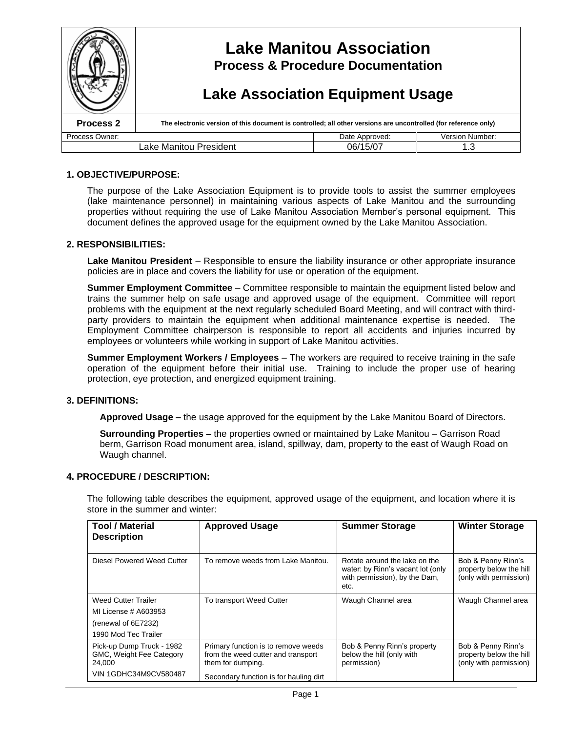

### **1. OBJECTIVE/PURPOSE:**

The purpose of the Lake Association Equipment is to provide tools to assist the summer employees (lake maintenance personnel) in maintaining various aspects of Lake Manitou and the surrounding properties without requiring the use of Lake Manitou Association Member's personal equipment. This document defines the approved usage for the equipment owned by the Lake Manitou Association.

#### **2. RESPONSIBILITIES:**

**Lake Manitou President** – Responsible to ensure the liability insurance or other appropriate insurance policies are in place and covers the liability for use or operation of the equipment.

**Summer Employment Committee** – Committee responsible to maintain the equipment listed below and trains the summer help on safe usage and approved usage of the equipment. Committee will report problems with the equipment at the next regularly scheduled Board Meeting, and will contract with thirdparty providers to maintain the equipment when additional maintenance expertise is needed. The Employment Committee chairperson is responsible to report all accidents and injuries incurred by employees or volunteers while working in support of Lake Manitou activities.

**Summer Employment Workers / Employees** – The workers are required to receive training in the safe operation of the equipment before their initial use. Training to include the proper use of hearing protection, eye protection, and energized equipment training.

#### **3. DEFINITIONS:**

**Approved Usage –**the usage approved for the equipment by the Lake Manitou Board of Directors.

**Surrounding Properties –**the properties owned or maintained by Lake Manitou –Garrison Road berm, Garrison Road monument area, island, spillway, dam, property to the east of Waugh Road on Waugh channel.

#### **4. PROCEDURE / DESCRIPTION:**

The following table describes the equipment, approved usage of the equipment, and location where it is store in the summer and winter:

| <b>Tool / Material</b><br><b>Description</b>                           | <b>Approved Usage</b>                                                                          | <b>Summer Storage</b>                                                                                       | <b>Winter Storage</b>                                                   |
|------------------------------------------------------------------------|------------------------------------------------------------------------------------------------|-------------------------------------------------------------------------------------------------------------|-------------------------------------------------------------------------|
| Diesel Powered Weed Cutter                                             | To remove weeds from Lake Manitou.                                                             | Rotate around the lake on the<br>water: by Rinn's vacant lot (only<br>with permission), by the Dam,<br>etc. | Bob & Penny Rinn's<br>property below the hill<br>(only with permission) |
| <b>Weed Cutter Trailer</b>                                             | To transport Weed Cutter                                                                       | Waugh Channel area                                                                                          | Waugh Channel area                                                      |
| MI License # A603953                                                   |                                                                                                |                                                                                                             |                                                                         |
| (renewal of 6E7232)                                                    |                                                                                                |                                                                                                             |                                                                         |
| 1990 Mod Tec Trailer                                                   |                                                                                                |                                                                                                             |                                                                         |
| Pick-up Dump Truck - 1982<br><b>GMC, Weight Fee Category</b><br>24,000 | Primary function is to remove weeds<br>from the weed cutter and transport<br>them for dumping. | Bob & Penny Rinn's property<br>below the hill (only with<br>permission)                                     | Bob & Penny Rinn's<br>property below the hill<br>(only with permission) |
| VIN 1GDHC34M9CV580487                                                  | Secondary function is for hauling dirt                                                         |                                                                                                             |                                                                         |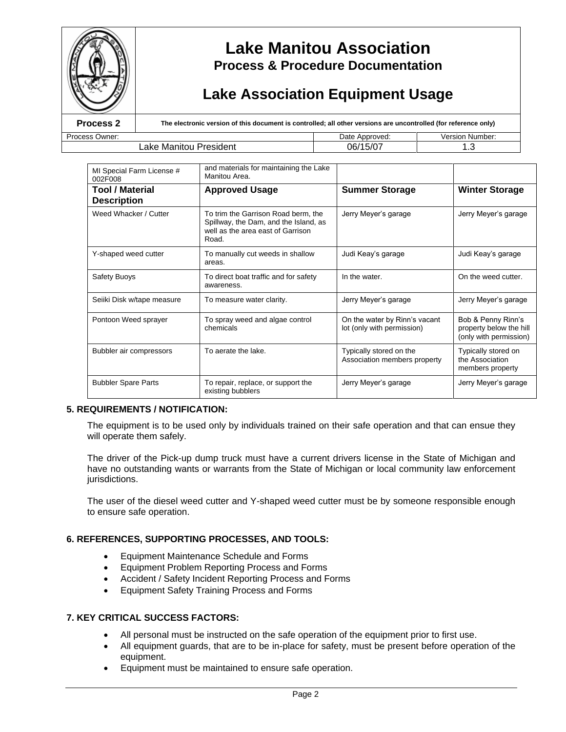

# **Lake Manitou Association Process & Procedure Documentation**

# **Lake Association Equipment Usage**

Process Owner: Date Approved: University of the Manitour Process Owner: University of the Manitour Procedent of the California of the California of the Manitour Procedent of the California of the California of the Manitour

**Process 2 The electronic version of this document is controlled; all other versions are uncontrolled (for reference only)** 

| Lake Manitou President                |                                                                                                                            | 06/15/07                                                    | 1.3                                                                     |  |
|---------------------------------------|----------------------------------------------------------------------------------------------------------------------------|-------------------------------------------------------------|-------------------------------------------------------------------------|--|
|                                       |                                                                                                                            |                                                             |                                                                         |  |
| MI Special Farm License #<br>002F008  | and materials for maintaining the Lake<br>Manitou Area.                                                                    |                                                             |                                                                         |  |
| Tool / Material<br><b>Description</b> | <b>Approved Usage</b>                                                                                                      | <b>Summer Storage</b>                                       | <b>Winter Storage</b>                                                   |  |
| Weed Whacker / Cutter                 | To trim the Garrison Road berm, the<br>Spillway, the Dam, and the Island, as<br>well as the area east of Garrison<br>Road. | Jerry Meyer's garage                                        | Jerry Meyer's garage                                                    |  |
| Y-shaped weed cutter                  | To manually cut weeds in shallow<br>areas.                                                                                 | Judi Keay's garage                                          | Judi Keay's garage                                                      |  |
| Safety Buoys                          | To direct boat traffic and for safety<br>awareness.                                                                        | In the water.                                               | On the weed cutter.                                                     |  |
| Seiiki Disk w/tape measure            | To measure water clarity.                                                                                                  | Jerry Meyer's garage                                        | Jerry Meyer's garage                                                    |  |
| Pontoon Weed sprayer                  | To spray weed and algae control<br>chemicals                                                                               | On the water by Rinn's vacant<br>lot (only with permission) | Bob & Penny Rinn's<br>property below the hill<br>(only with permission) |  |
| Bubbler air compressors               | To aerate the lake.                                                                                                        | Typically stored on the                                     | Typically stored on                                                     |  |

Association members property

JerryMeyer'sgarage JerryMeyer'sgarage

the Association members property

## **5. REQUIREMENTS / NOTIFICATION:**

The equipment is to be used only by individuals trained on their safe operation and that can ensue they will operate them safely.

The driver of the Pick-up dump truck must have a current drivers license in the State of Michigan and have no outstanding wants or warrants from the State of Michigan or local community law enforcement jurisdictions.

The user of the diesel weed cutter and Y-shaped weed cutter must be by someone responsible enough to ensure safe operation.

### **6. REFERENCES, SUPPORTING PROCESSES, AND TOOLS:**

Bubbler Spare Parts **To repair, replace, or support the** 

existing bubblers

- Equipment Maintenance Schedule and Forms
- Equipment Problem Reporting Process and Forms
- Accident / Safety Incident Reporting Process and Forms
- Equipment Safety Training Process and Forms

### **7. KEY CRITICAL SUCCESS FACTORS:**

- All personal must be instructed on the safe operation of the equipment prior to first use.
- All equipment guards, that are to be in-place for safety, must be present before operation of the equipment.
- Equipment must be maintained to ensure safe operation.